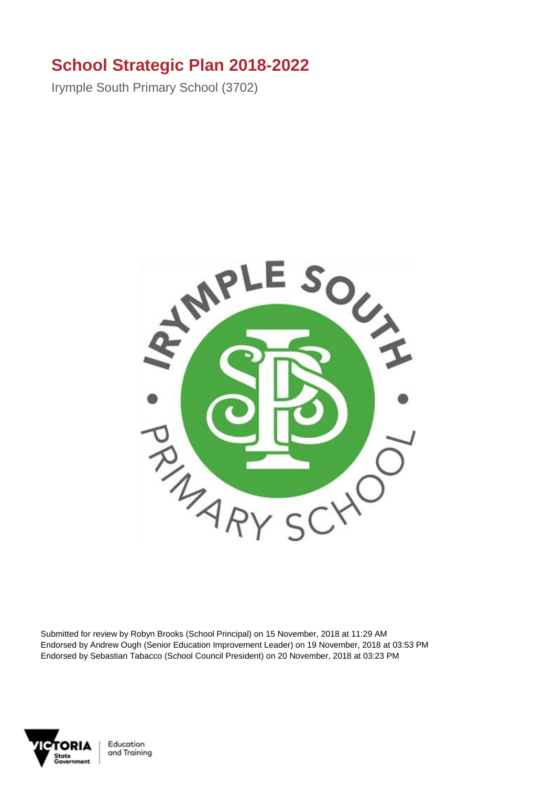## **School Strategic Plan 2018-2022**

Irymple South Primary School (3702)



Submitted for review by Robyn Brooks (School Principal) on 15 November, 2018 at 11:29 AM Endorsed by Andrew Ough (Senior Education Improvement Leader) on 19 November, 2018 at 03:53 PM Endorsed by Sebastian Tabacco (School Council President) on 20 November, 2018 at 03:23 PM

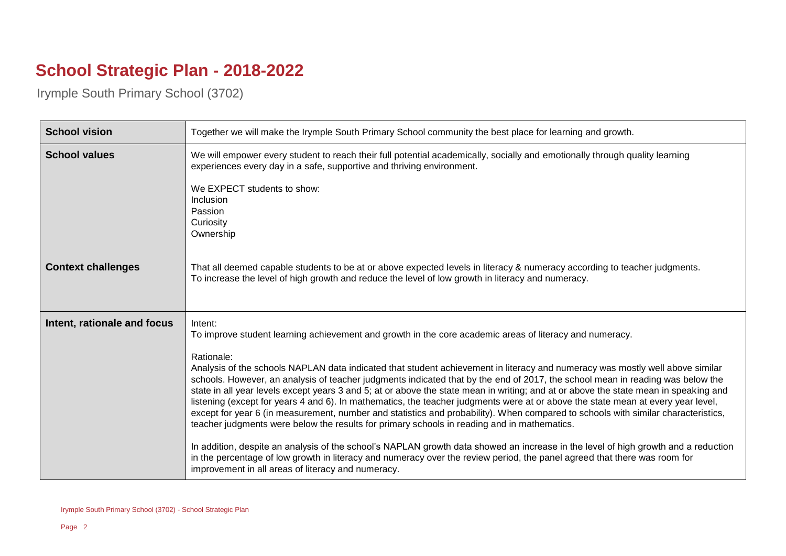## **School Strategic Plan - 2018-2022**

Irymple South Primary School (3702)

| <b>School vision</b>        | Together we will make the Irymple South Primary School community the best place for learning and growth.                                                                                                                                                                                                                                                                                                                                                                                                                                                                                                                                                                                                                                                                                                                                                                                                                                                                                                                                                                                                                                                                                                                                     |
|-----------------------------|----------------------------------------------------------------------------------------------------------------------------------------------------------------------------------------------------------------------------------------------------------------------------------------------------------------------------------------------------------------------------------------------------------------------------------------------------------------------------------------------------------------------------------------------------------------------------------------------------------------------------------------------------------------------------------------------------------------------------------------------------------------------------------------------------------------------------------------------------------------------------------------------------------------------------------------------------------------------------------------------------------------------------------------------------------------------------------------------------------------------------------------------------------------------------------------------------------------------------------------------|
| <b>School values</b>        | We will empower every student to reach their full potential academically, socially and emotionally through quality learning<br>experiences every day in a safe, supportive and thriving environment.<br>We EXPECT students to show:<br>Inclusion<br>Passion<br>Curiosity<br>Ownership                                                                                                                                                                                                                                                                                                                                                                                                                                                                                                                                                                                                                                                                                                                                                                                                                                                                                                                                                        |
| <b>Context challenges</b>   | That all deemed capable students to be at or above expected levels in literacy & numeracy according to teacher judgments.<br>To increase the level of high growth and reduce the level of low growth in literacy and numeracy.                                                                                                                                                                                                                                                                                                                                                                                                                                                                                                                                                                                                                                                                                                                                                                                                                                                                                                                                                                                                               |
| Intent, rationale and focus | Intent:<br>To improve student learning achievement and growth in the core academic areas of literacy and numeracy.<br>Rationale:<br>Analysis of the schools NAPLAN data indicated that student achievement in literacy and numeracy was mostly well above similar<br>schools. However, an analysis of teacher judgments indicated that by the end of 2017, the school mean in reading was below the<br>state in all year levels except years 3 and 5; at or above the state mean in writing; and at or above the state mean in speaking and<br>listening (except for years 4 and 6). In mathematics, the teacher judgments were at or above the state mean at every year level,<br>except for year 6 (in measurement, number and statistics and probability). When compared to schools with similar characteristics,<br>teacher judgments were below the results for primary schools in reading and in mathematics.<br>In addition, despite an analysis of the school's NAPLAN growth data showed an increase in the level of high growth and a reduction<br>in the percentage of low growth in literacy and numeracy over the review period, the panel agreed that there was room for<br>improvement in all areas of literacy and numeracy. |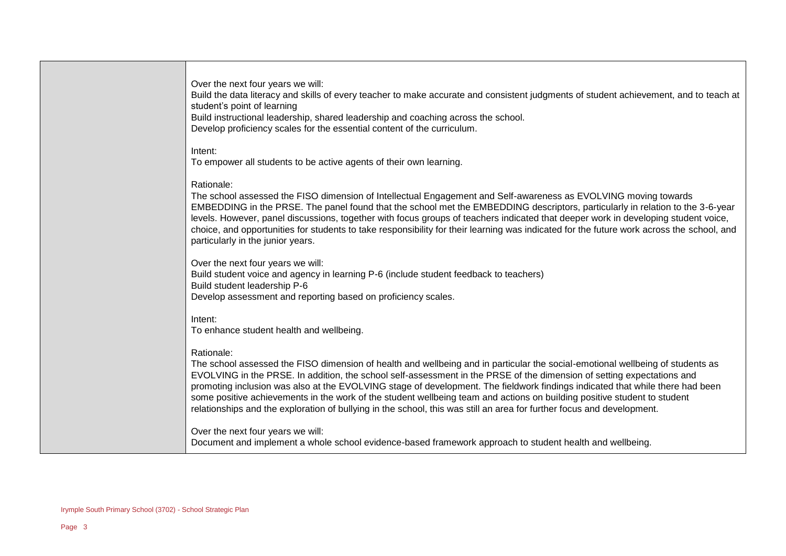| Over the next four years we will:<br>Build the data literacy and skills of every teacher to make accurate and consistent judgments of student achievement, and to teach at<br>student's point of learning<br>Build instructional leadership, shared leadership and coaching across the school.<br>Develop proficiency scales for the essential content of the curriculum.                                                                                                                                                                                                                                                                                     |
|---------------------------------------------------------------------------------------------------------------------------------------------------------------------------------------------------------------------------------------------------------------------------------------------------------------------------------------------------------------------------------------------------------------------------------------------------------------------------------------------------------------------------------------------------------------------------------------------------------------------------------------------------------------|
| Intent:<br>To empower all students to be active agents of their own learning.                                                                                                                                                                                                                                                                                                                                                                                                                                                                                                                                                                                 |
| Rationale:<br>The school assessed the FISO dimension of Intellectual Engagement and Self-awareness as EVOLVING moving towards<br>EMBEDDING in the PRSE. The panel found that the school met the EMBEDDING descriptors, particularly in relation to the 3-6-year<br>levels. However, panel discussions, together with focus groups of teachers indicated that deeper work in developing student voice,<br>choice, and opportunities for students to take responsibility for their learning was indicated for the future work across the school, and<br>particularly in the junior years.                                                                       |
| Over the next four years we will:<br>Build student voice and agency in learning P-6 (include student feedback to teachers)<br>Build student leadership P-6<br>Develop assessment and reporting based on proficiency scales.                                                                                                                                                                                                                                                                                                                                                                                                                                   |
| Intent:<br>To enhance student health and wellbeing.                                                                                                                                                                                                                                                                                                                                                                                                                                                                                                                                                                                                           |
| Rationale:<br>The school assessed the FISO dimension of health and wellbeing and in particular the social-emotional wellbeing of students as<br>EVOLVING in the PRSE. In addition, the school self-assessment in the PRSE of the dimension of setting expectations and<br>promoting inclusion was also at the EVOLVING stage of development. The fieldwork findings indicated that while there had been<br>some positive achievements in the work of the student wellbeing team and actions on building positive student to student<br>relationships and the exploration of bullying in the school, this was still an area for further focus and development. |
| Over the next four years we will:<br>Document and implement a whole school evidence-based framework approach to student health and wellbeing.                                                                                                                                                                                                                                                                                                                                                                                                                                                                                                                 |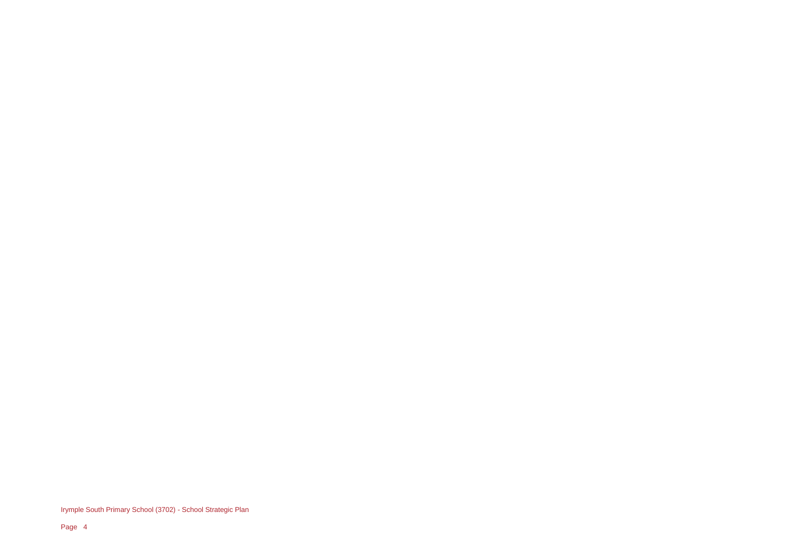Irymple South Primary School (3702) - School Strategic Plan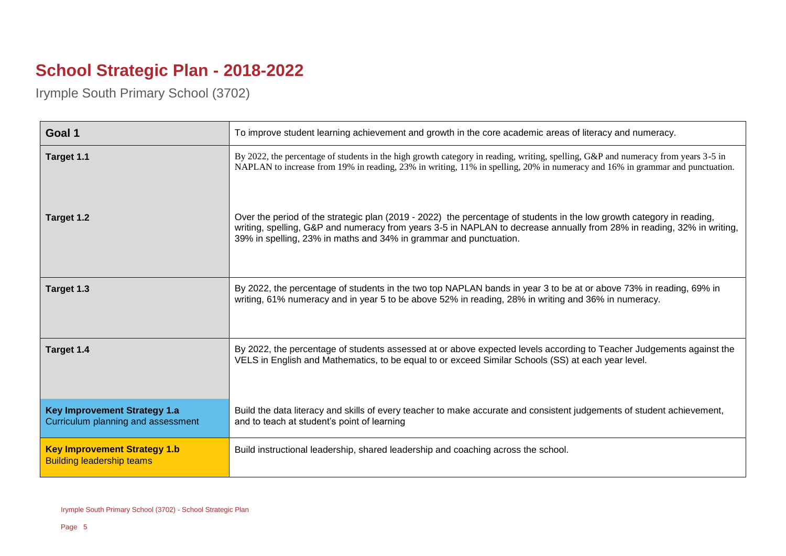## **School Strategic Plan - 2018-2022**

Irymple South Primary School (3702)

| Goal 1                                                                    | To improve student learning achievement and growth in the core academic areas of literacy and numeracy.                                                                                                                                                                                                              |
|---------------------------------------------------------------------------|----------------------------------------------------------------------------------------------------------------------------------------------------------------------------------------------------------------------------------------------------------------------------------------------------------------------|
| Target 1.1                                                                | By 2022, the percentage of students in the high growth category in reading, writing, spelling, G&P and numeracy from years 3-5 in<br>NAPLAN to increase from 19% in reading, 23% in writing, 11% in spelling, 20% in numeracy and 16% in grammar and punctuation.                                                    |
| Target 1.2                                                                | Over the period of the strategic plan (2019 - 2022) the percentage of students in the low growth category in reading,<br>writing, spelling, G&P and numeracy from years 3-5 in NAPLAN to decrease annually from 28% in reading, 32% in writing,<br>39% in spelling, 23% in maths and 34% in grammar and punctuation. |
| Target 1.3                                                                | By 2022, the percentage of students in the two top NAPLAN bands in year 3 to be at or above 73% in reading, 69% in<br>writing, 61% numeracy and in year 5 to be above 52% in reading, 28% in writing and 36% in numeracy.                                                                                            |
| Target 1.4                                                                | By 2022, the percentage of students assessed at or above expected levels according to Teacher Judgements against the<br>VELS in English and Mathematics, to be equal to or exceed Similar Schools (SS) at each year level.                                                                                           |
| <b>Key Improvement Strategy 1.a</b><br>Curriculum planning and assessment | Build the data literacy and skills of every teacher to make accurate and consistent judgements of student achievement,<br>and to teach at student's point of learning                                                                                                                                                |
| <b>Key Improvement Strategy 1.b</b><br><b>Building leadership teams</b>   | Build instructional leadership, shared leadership and coaching across the school.                                                                                                                                                                                                                                    |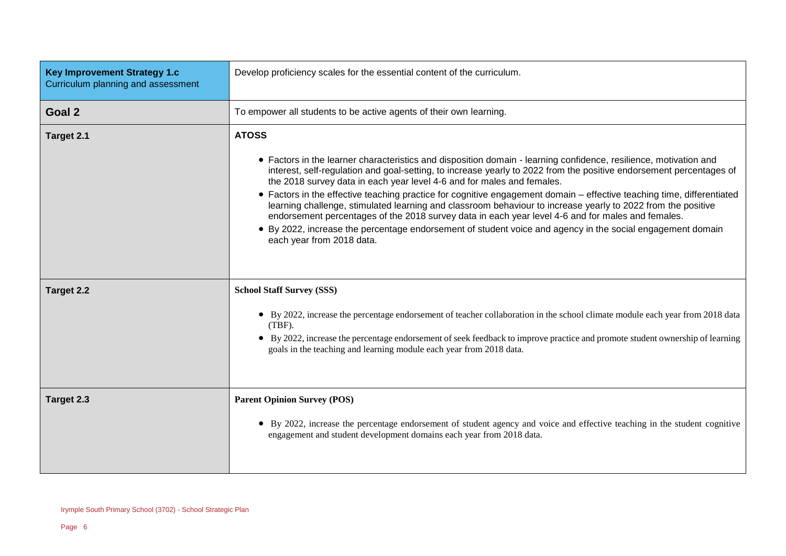| <b>Key Improvement Strategy 1.c</b><br>Curriculum planning and assessment | Develop proficiency scales for the essential content of the curriculum.                                                                                                                                                                                                                                                                                                                                                                                                                                                                                                                                                                                                                                                                                                                                                      |
|---------------------------------------------------------------------------|------------------------------------------------------------------------------------------------------------------------------------------------------------------------------------------------------------------------------------------------------------------------------------------------------------------------------------------------------------------------------------------------------------------------------------------------------------------------------------------------------------------------------------------------------------------------------------------------------------------------------------------------------------------------------------------------------------------------------------------------------------------------------------------------------------------------------|
| Goal 2                                                                    | To empower all students to be active agents of their own learning.                                                                                                                                                                                                                                                                                                                                                                                                                                                                                                                                                                                                                                                                                                                                                           |
| Target 2.1                                                                | <b>ATOSS</b><br>• Factors in the learner characteristics and disposition domain - learning confidence, resilience, motivation and<br>interest, self-regulation and goal-setting, to increase yearly to 2022 from the positive endorsement percentages of<br>the 2018 survey data in each year level 4-6 and for males and females.<br>• Factors in the effective teaching practice for cognitive engagement domain – effective teaching time, differentiated<br>learning challenge, stimulated learning and classroom behaviour to increase yearly to 2022 from the positive<br>endorsement percentages of the 2018 survey data in each year level 4-6 and for males and females.<br>• By 2022, increase the percentage endorsement of student voice and agency in the social engagement domain<br>each year from 2018 data. |
| Target 2.2                                                                | <b>School Staff Survey (SSS)</b><br>• By 2022, increase the percentage endorsement of teacher collaboration in the school climate module each year from 2018 data<br>$(TBF)$ .<br>• By 2022, increase the percentage endorsement of seek feedback to improve practice and promote student ownership of learning<br>goals in the teaching and learning module each year from 2018 data.                                                                                                                                                                                                                                                                                                                                                                                                                                       |
| Target 2.3                                                                | <b>Parent Opinion Survey (POS)</b><br>• By 2022, increase the percentage endorsement of student agency and voice and effective teaching in the student cognitive<br>engagement and student development domains each year from 2018 data.                                                                                                                                                                                                                                                                                                                                                                                                                                                                                                                                                                                     |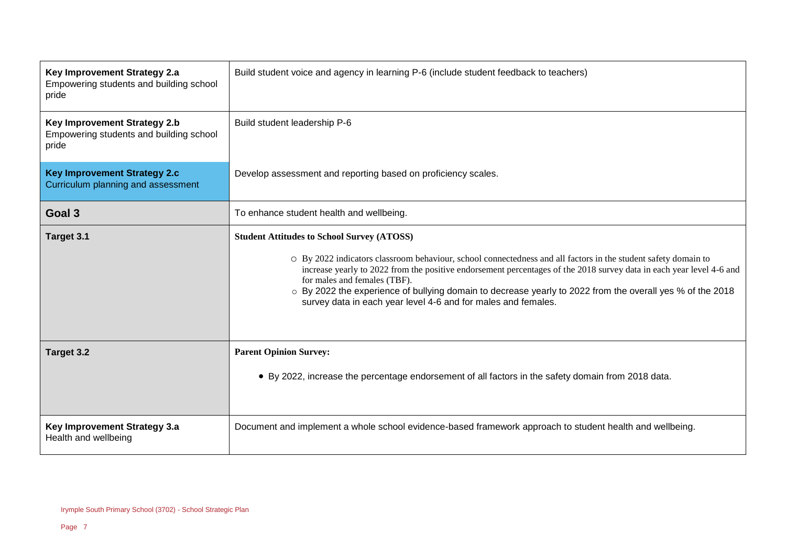| Key Improvement Strategy 2.a<br>Empowering students and building school<br>pride | Build student voice and agency in learning P-6 (include student feedback to teachers)                                                                                                                                                                                                                                                                                                                                                                                                                     |
|----------------------------------------------------------------------------------|-----------------------------------------------------------------------------------------------------------------------------------------------------------------------------------------------------------------------------------------------------------------------------------------------------------------------------------------------------------------------------------------------------------------------------------------------------------------------------------------------------------|
| Key Improvement Strategy 2.b<br>Empowering students and building school<br>pride | Build student leadership P-6                                                                                                                                                                                                                                                                                                                                                                                                                                                                              |
| <b>Key Improvement Strategy 2.c</b><br>Curriculum planning and assessment        | Develop assessment and reporting based on proficiency scales.                                                                                                                                                                                                                                                                                                                                                                                                                                             |
| Goal 3                                                                           | To enhance student health and wellbeing.                                                                                                                                                                                                                                                                                                                                                                                                                                                                  |
| Target 3.1                                                                       | <b>Student Attitudes to School Survey (ATOSS)</b><br>O By 2022 indicators classroom behaviour, school connectedness and all factors in the student safety domain to<br>increase yearly to 2022 from the positive endorsement percentages of the 2018 survey data in each year level 4-6 and<br>for males and females (TBF).<br>o By 2022 the experience of bullying domain to decrease yearly to 2022 from the overall yes % of the 2018<br>survey data in each year level 4-6 and for males and females. |
| Target 3.2                                                                       | <b>Parent Opinion Survey:</b><br>• By 2022, increase the percentage endorsement of all factors in the safety domain from 2018 data.                                                                                                                                                                                                                                                                                                                                                                       |
| Key Improvement Strategy 3.a<br>Health and wellbeing                             | Document and implement a whole school evidence-based framework approach to student health and wellbeing.                                                                                                                                                                                                                                                                                                                                                                                                  |